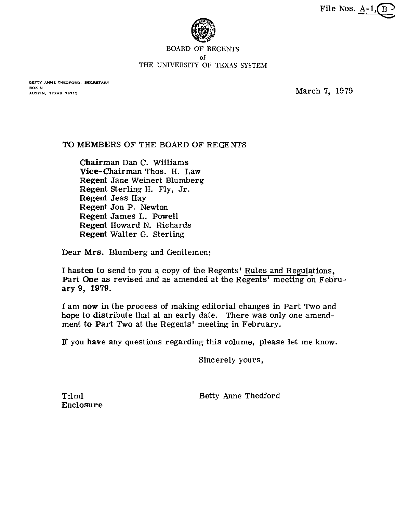File Nos.  $A-1$ ,  $\overline{B}$ 



#### **BOARD OF REGENTS of**  THE UNIVERSITY OF TEXAS SYSTEM

**BETTY ANNE THEDFORD. SECRETARY BOX N**<br>AUSTIN, TFXAS 78712

**March 7, 1979** 

## TO MEMBERS OF THE BOARD OF REGENTS

Chairman Dan C. Williams Vice-chairman Thos. H. Law Regent Jane Weinert Blumberg Regent Sterling H. Fly, Jr. Regent Jess Hay Regent Jon P. Newton Regent James L. Powell Regent Howard N. Richards Regent Walter *G.* Sterling

Dear Mrs. Blumberg and Gentlemen:

I hasten to send to you a copy of the Regents' Rules and Regulations, Part One **as** revised and as amended at the Regents' meeting on February 9, 1979.

I am **now** in the process of making editorial changes in Part Two and hope to distribute that at an early date. There was only one amendment to Part Two at the Regents' meeting in February.

**If** you have any questions regarding this volume, please let me know.

Sincerely yours,

Betty Anne Thedford

T:lml Enclosure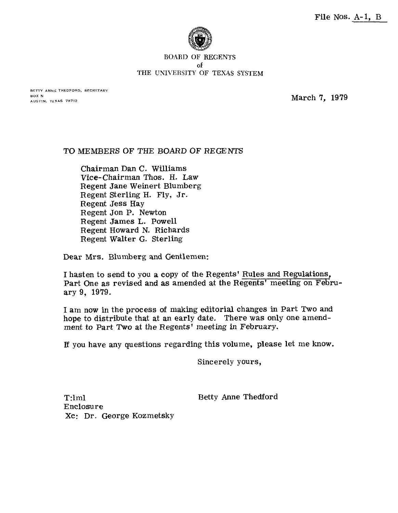

#### BOARD OF REGENTS of THE UNIVERSITY OF TEXAS SYSTEM

**BETIY ANNE THEDFORD, SECRETARY BOX N**<br>AUSTIN, TEXAS 7B712

**March 7, 1979** 

### TO MEMBERS OF THE BOARD OF REGENTS

Chairman Dan C. Williams Vice-chairman Thos. H. Law Regent Jane Weinert Blumberg Regent Sterling H. Fly, Jr. Regent Jess Hay Regent Jon P. Newton Regent James L. Powell Regent Howard N. Richards Regent Walter G. Sterling

Dear Mrs. Blumberg and Gentlemen:

I hasten to send to you a copy of the Regents' Rules and Regulations, Part One as revised and as amended at the Regents' meeting on February 9, 1979.

I am now in the process of making editorial changes in Part Two and hope to distribute that at an early date. There was only one amendment to Part Two at the Regents' meeting in February.

If you have any questions regarding this volume, please let me know.

Sincerely yours,

Betty Anne Thedford

T:lml Enclosure Xc: Dr. George Kozmetsky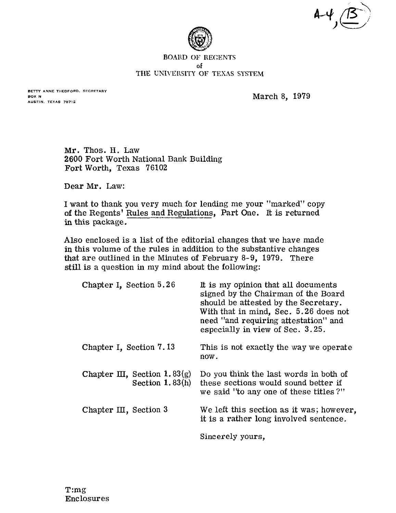



#### **BOARD OF REGENTS of THE UNIVERSITY** OF **TEXAS SYSTEM**

**BETTY ANNE THEOFORD. SECRETARY BOX H AUSTIN. TEXAS 78712** 

March 8, 1979

Mr. Thos. H. Law 2600 Fort Worth National Bank Building Fort Worth, Texas 76102

Dear Mr. Law:

I want to thank you very much for lending me your "marked" copy of the Regents' Rules and Regulations, Part One. It is returned in this package.

Also enclosed is a list of the editorial changes that we have made in this volume of the rules in addition to the substantive changes that are outlined in the Minutes of February 8-9, 1979. There still is a question in my mind about the following:

| Chapter I, Section 5.26                              | It is my opinion that all documents<br>signed by the Chairman of the Board<br>should be attested by the Secretary.<br>With that in mind, Sec. 5.26 does not<br>need "and requiring attestation" and<br>especially in view of Sec. 3.25. |
|------------------------------------------------------|-----------------------------------------------------------------------------------------------------------------------------------------------------------------------------------------------------------------------------------------|
| Chapter I, Section 7.13                              | This is not exactly the way we operate<br>now.                                                                                                                                                                                          |
| Chapter III, Section 1.83 $(g)$<br>Section $1.83(h)$ | Do you think the last words in both of<br>these sections would sound better if<br>we said "to any one of these titles?"                                                                                                                 |
| Chapter III, Section 3                               | We left this section as it was; however,<br>it is a rather long involved sentence.                                                                                                                                                      |
|                                                      | Sincerely yours.                                                                                                                                                                                                                        |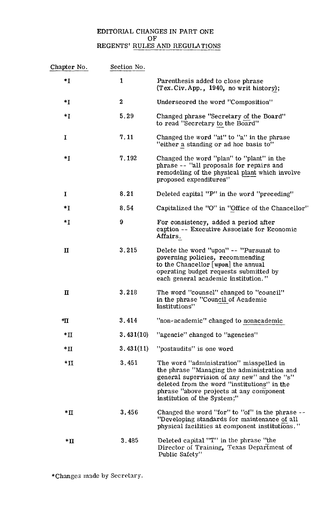# EDITORIAL CHANGES IN PART ONE OF REGENTS' RULES AND REGULATIONS

|                | vr           | REGENTS' RULES AND REGULATIONS                                                                                                                                                                                                                                  |
|----------------|--------------|-----------------------------------------------------------------------------------------------------------------------------------------------------------------------------------------------------------------------------------------------------------------|
| Chapter No.    | Section No.  |                                                                                                                                                                                                                                                                 |
| $*I$           | $\mathbf{1}$ | Parenthesis added to close phrase<br>(Tex. Civ. App., 1940, no writ history);                                                                                                                                                                                   |
| $\mathbf{H}^*$ | $\bf{2}$     | Underscored the word "Composition"                                                                                                                                                                                                                              |
| $\ast$ I       | 5.29         | Changed phrase "Secretary of the Board"<br>to read "Secretary to the Board"                                                                                                                                                                                     |
| I              | 7.11         | Changed the word "at" to "a" in the phrase<br>"either a standing or ad hoc basis to"                                                                                                                                                                            |
| $\ast$ I       | 7.192        | Changed the word "plan" to "plant" in the<br>phrase -- "all proposals for repairs and<br>remodeling of the physical plant which involve<br>proposed expenditures"                                                                                               |
| I              | 8.21         | Deleted capital "P" in the word "preceding"                                                                                                                                                                                                                     |
| $*I$           | 8.54         | Capitalized the "O" in "Office of the Chancellor"                                                                                                                                                                                                               |
| $*I$           | 9            | For consistency, added a period after<br>caption -- Executive Associate for Economic<br>Affairs.                                                                                                                                                                |
| $\mathbf{I}$   | 3.215        | Delete the word "upon" -- "Pursuant to<br>governing policies, recommending<br>to the Chancellor $[$ upon $]$ the annual<br>operating budget requests submitted by<br>each general academic institution."                                                        |
| $\mathbf{I}$   | 3.218        | The word "counsel" changed to "council"<br>in the phrase "Council of Academic<br>Institutions"                                                                                                                                                                  |
| *∐             | 3.414        | "non-academic" changed to nonacademic                                                                                                                                                                                                                           |
| $*$ II         | 3.431(10)    | "agencie" changed to "agencies"                                                                                                                                                                                                                                 |
| $*$ II         | 3.431(11)    | "postaudits" is one word                                                                                                                                                                                                                                        |
| $*$ II         | 3.451        | The word "administration" misspelled in<br>the phrase "Managing the administration and<br>general supervision of any new" and the "s"<br>deleted from the word "institutions" in the<br>phrase "above projects at any component"<br>institution of the System;" |
| $\ast \Pi$     | 3.456        | Changed the word "for" to "of" in the phrase --<br>"Developing standards for maintenance of all<br>physical facilities at component institutions."                                                                                                              |
| $*$ II         | 3.485        | Deleted capital "T" in the phrase "the<br>Director of Training, Texas Department of<br>Public Safety"                                                                                                                                                           |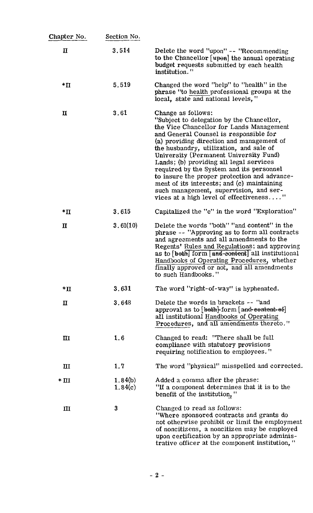| Chapter No <i>.</i> | Section No.        |                                                                                                                                                                                                                                                                                                                                                                                                                                                                                                                                                                     |
|---------------------|--------------------|---------------------------------------------------------------------------------------------------------------------------------------------------------------------------------------------------------------------------------------------------------------------------------------------------------------------------------------------------------------------------------------------------------------------------------------------------------------------------------------------------------------------------------------------------------------------|
| $\mathbf u$         | 3.514              | Delete the word "upon" -- "Recommending"<br>to the Chancellor [upon] the annual operating<br>budget requests submitted by each health<br>institution."                                                                                                                                                                                                                                                                                                                                                                                                              |
| $*$ II              | 5.519              | Changed the word "help" to "health" in the<br>phrase "to health professional groups at the<br>local, state and national levels,"                                                                                                                                                                                                                                                                                                                                                                                                                                    |
| $\mathbf u$         | 3.61               | Change as follows:<br>"Subject to delegation by the Chancellor,<br>the Vice Chancellor for Lands Management<br>and General Counsel is responsible for<br>(a) providing direction and management of<br>the husbandry, utilization, and sale of<br>University (Permanent University Fund)<br>Lands; (b) providing all legal services<br>required by the System and its personnel<br>to insure the proper protection and advance-<br>ment of its interests; and $(c)$ maintaining<br>such management, supervision, and ser-<br>vices at a high level of effectiveness" |
| $*$ II              | 3.615              | Capitalized the "e" in the word "Exploration"                                                                                                                                                                                                                                                                                                                                                                                                                                                                                                                       |
| $\mathbf\Pi$        | 3.61(10)           | Delete the words "both" "and content" in the<br>phrase -- "Approving as to form all contracts<br>and agreements and all amendments to the<br>Regents' Rules and Regulations; and approving<br>as to [beth] form [and-content] all institutional<br>Handbooks of Operating Procedures, whether<br>finally approved or not, and all amendments<br>to such Handbooks."                                                                                                                                                                                                 |
| $\ast \Pi$          | 3.631              | The word "right-of-way" is hyphenated.                                                                                                                                                                                                                                                                                                                                                                                                                                                                                                                              |
| П                   | 3.648              | Delete the words in brackets -- "and<br>approval as to [beth] form [and-centent-ef]<br>all institutional Handbooks of Operating<br>Procedures, and all amendments thereto."                                                                                                                                                                                                                                                                                                                                                                                         |
| $\mathbf{H}$        | 1.6                | Changed to read: "There shall be full<br>compliance with statutory provisions<br>requiring notification to employees."                                                                                                                                                                                                                                                                                                                                                                                                                                              |
| $\mathbf{H}$        | 1.7                | The word "physical" misspelled and corrected.                                                                                                                                                                                                                                                                                                                                                                                                                                                                                                                       |
| $*$ III             | 1.84(b)<br>1.84(c) | Added a comma after the phrase:<br>"If a component determines that it is to the<br>benefit of the institution,"                                                                                                                                                                                                                                                                                                                                                                                                                                                     |
| Ш                   | 3                  | Changed to read as follows:<br>"Where sponsored contracts and grants do<br>not otherwise prohibit or limit the employment<br>of noncitizens, a noncitizen may be employed<br>upon certification by an appropriate adminis-<br>trative officer at the component institution,"                                                                                                                                                                                                                                                                                        |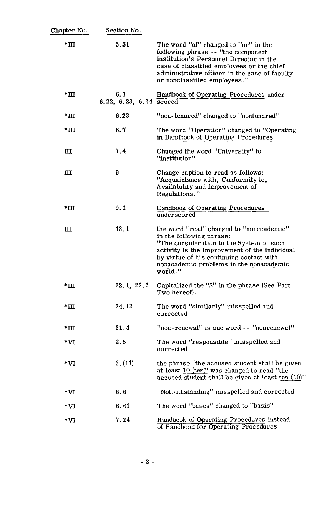| Chapter No.  | Section No.                    |                                                                                                                                                                                                                                                                     |
|--------------|--------------------------------|---------------------------------------------------------------------------------------------------------------------------------------------------------------------------------------------------------------------------------------------------------------------|
| $*$ III      | 5.31                           | The word "of" changed to "or" in the<br>following phrase -- 'the component<br>institution's Personnel Director in the<br>case of classified employees or the chief<br>administrative officer in the case of faculty<br>or nonclassified employees."                 |
| $*$ III      | 6.1<br>6.22, 6.23, 6.24 scored | Handbook of Operating Procedures under-                                                                                                                                                                                                                             |
| $*$ III      | 6.23                           | "non-tenured" changed to "nontenured"                                                                                                                                                                                                                               |
| $*$ III      | 6.7                            | The word "Operation" changed to "Operating"<br>in Handbook of Operating Procedures                                                                                                                                                                                  |
| $\mathbf{H}$ | 7.4                            | Changed the word "University" to<br>"institution"                                                                                                                                                                                                                   |
| $\mathbf{I}$ | 9                              | Change caption to read as follows:<br>"Acquaintance with, Conformity to,<br>Availability and Improvement of<br>Regulations."                                                                                                                                        |
| $*III$       | 9.1                            | Handbook of Operating Procedures<br>underscored                                                                                                                                                                                                                     |
| $\mathbf{H}$ | 13.1                           | the word "real" changed to "nonacademic"<br>in the following phrase:<br>"The consideration to the System of such<br>activity is the improvement of the individual<br>by virtue of his continuing contact with<br>nonacademic problems in the nonacademic<br>world." |
| $*$ III      | 22.1, 22.2                     | Capitalized the "S" in the phrase (See Part<br>Two hereof).                                                                                                                                                                                                         |
| $*$ III      | 24.12                          | The word "similarly" misspelled and<br>corrected                                                                                                                                                                                                                    |
| $*$ III      | 31.4                           | "non-renewal" is one word -- "nonrenewal"                                                                                                                                                                                                                           |
| $*_{VI}$     | 2.5                            | The word "responsible" misspelled and<br>corrected                                                                                                                                                                                                                  |
| $*_{VI}$     | 3.(11)                         | the phrase "the accused student shall be given<br>at least 10 (ten)" was changed to read "the<br>accused student shall be given at least ten (10)"                                                                                                                  |
| $*_{VI}$     | 6.6                            | "Notwithstanding" misspelled and corrected                                                                                                                                                                                                                          |
| $*_{VI}$     | 6.61                           | The word "bases" changed to "basis"                                                                                                                                                                                                                                 |
| $*_{VI}$     | 7.24                           | Handbook of Operating Procedures instead<br>of Handbook for Operating Procedures                                                                                                                                                                                    |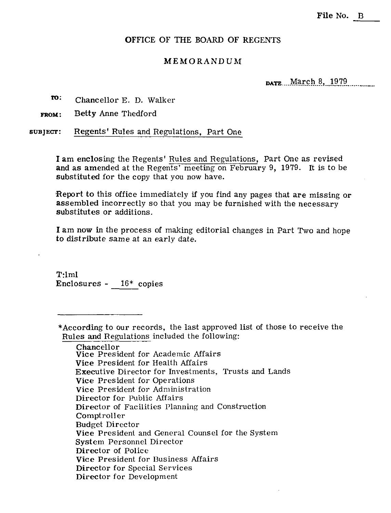### OFFICE OF THE BOARD OF REGENTS

### **MEMORANDUM**

**PATE** March 8, 1979

**m:** Chancellor E. D. Walker

**FROM:** Betty Anne Thedford

**SUBJECT:** Regents' Rules and Regulations, Part One

I am enclosing the Regents' Rules and Regulations, Part One as revised and as amended at the Regents' meeting on February 9, 1979. It is to be substituted for the copy that you now have.

Report to this office immediately if you find any pages that are missing or assembled incorrectly so that you may be furnished with the necessary substitutes or additions.

I am now in the process of making editorial changes in Part Two and hope to distribute same at an early date.

T:lml Enclosures - 16\* copies

\*According to our records, the last approved list of those to receive the Rules and Regulations included the following:

Chancellor Vice President for Academic Affairs Vice President for Health Affairs Executive Director for Investments, Trusts and Lands Vice President for Operations Vice President for Administration Director for Public Affairs Director of Facilities Planning and Construction Comptroller Budget Director Vice President and General Counsel for the System System Personnel Director Director of Police Vice President for Business Affairs Director for Special Services Director for Development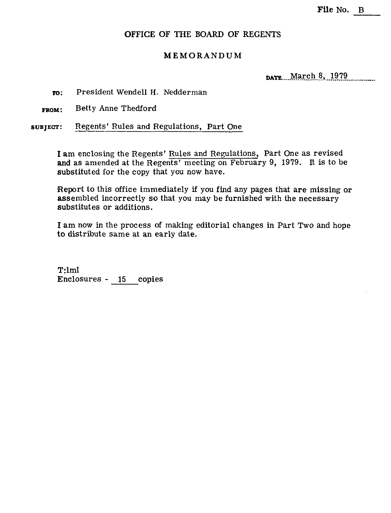## **OFFICE OF THE BOARD OF REGENTS**

## **MEMORANDUM**

DATE March 8, 1979

**m:** President Wendell H. Nedderman

Betty Anne Thedford **FROM:** 

**SUBJECT:** Regents' Rules and Regulations, Part One

I am enclosing the Regents' Rules and Regulations, Part One as revised **and** as amended at the Regents' meeting on February 9, 1979. It is to be substituted for the copy that you now have.

Report to this office immediately if you find any pages that are missing or assembled incorrectly so that you may be furnished with the necessary substitutes or additions.

**I** am now in the process of making editorial changes in Part Two and hope to distribute same at an early date.

T:lml Enclosures - 15 copies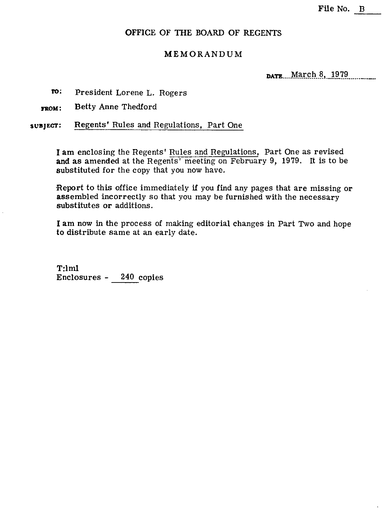## **OFFICE** OF THE BOARD OF REGENTS

## MEMORANDUM

**DATE... March 8, 1979** 

 $TO:$ President Lorene L. Rogers

**m~:** Betty Anne Thedford

**SUBJECT:** Regents' Rules and Regulations, Part One

I am enclosing the Regents' Rules and Regulations, Part One as revised and as amended at the Regents' meeting on February 9, 1979. It is to be substituted for the copy that you now have.

Report to this office immediately if you find any pages that are missing or assembled incorrectly so that you may be furnished with the necessary substitutes or additions.

I am now in the process of making editorial changes in Part Two and hope to distribute same at an early date.

**T:lml**  Enclosures - 240 copies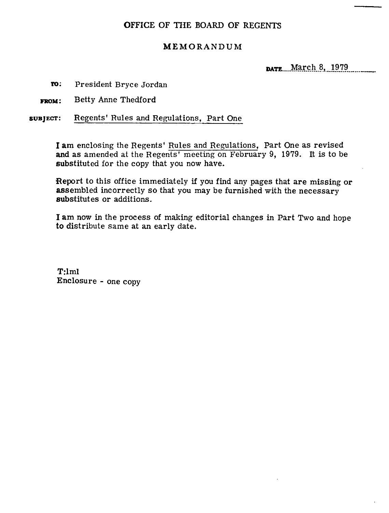# OFFICE OF THE BOARD OF **REGENTS**

# MEMORANDUM

DATE March 8, 1979

**ro:** President Bryce Jordan

**FROM:** Betty Anne Thedford

**subjecr:** Regents' Rules and Regulations, Part One

I am enclosing the Regents' Rules and Regulations, Part One as revised **and** as amended at the Regents' meeting on February 9, 1979. It is to be substituted for the copy that you now have.

Report to this office immediately if you find any pages that are missing or assembled incorrectly so that you may be furnished with the necessary substitutes or additions.

I am now in the process of making editorial changes in Part Two and hope to distribute same at an early date.

T:lml Enclosure - one copy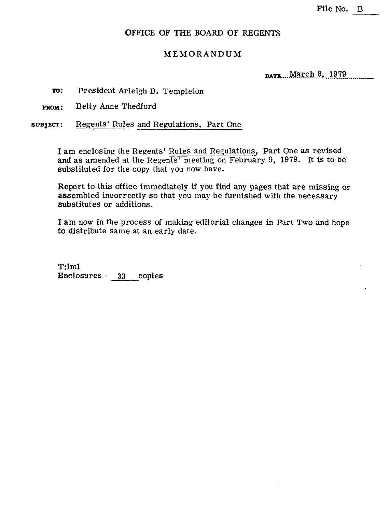## **OFFICE** OF THE BOARD OF **REGENTS**

## MEMORANDUM

DATE March 8, 1979

**To:** President Arleigh B. Templeton

**FROM:** Betty Anne Thedford

**suajEcT:** Regents' Rules and Regulations, Part One

I am enclosing the Regents' Rules and Regulations, Part One as revised and as amended at the Regents' meeting on February 9, 1979. It is to be substituted for the copy that you now have.

Report to this office immediately if you find any pages that are missing or assembled incorrectly so that you may be furnished with the necessary substitutes or additions.

I am now in the process of making editorial changes in Part Two and hope to distribute same at an early date.

T:lml Enclosures - **33** copies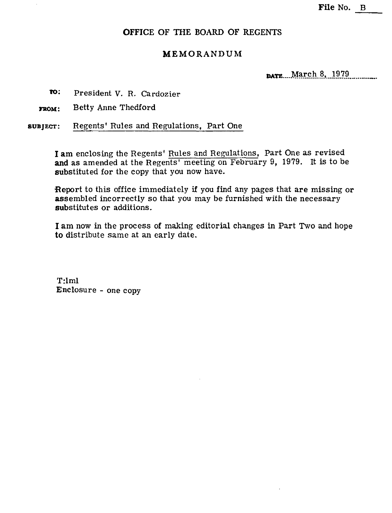## **OFFICE OF THE BOARD OF REGENTS**

# **MEMORANDUM**

**pare** March 8, 1979

- **m:** President V. R. Cardozier
- **FROM:** Betty Anne Thedford

**SUBJECF:** Regents' Rules and Regulations, Part One

I am enclosing the Regents' Rules and Regulations, Part One as revised and as amended at the Regents' meeting on February 9, 1979. It is to be substituted for the copy that you now have.

Report to this office immediately if you find any pages that are missing or assembled incorrectly so that you may be furnished with the necessary substitutes or additions.

I am now in the process of making editorial changes in Part Two and hope to distribute same at an early date.

T:lml Enclosure - one copy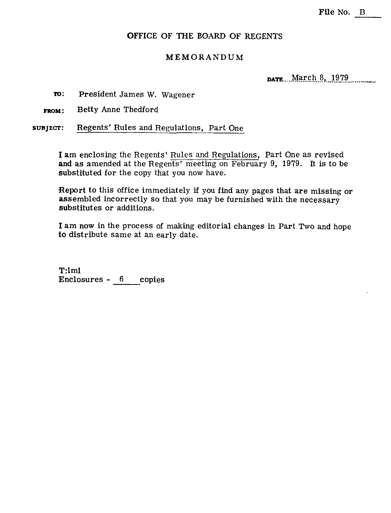## OFFICE OF THE BOARD OF REGENTS

### MEMORANDUM

DATE. March 8, 1979

**TO:** President James W. Wagener

FROM: Betty Anne Thedford

subject: Regents' Rules and Regulations, Part One

I am enclosing the Regents' Rules and Regulations, Part One as revised and as amended at the Regents' meeting on February 9, 1979. It is to be substituted for the copy that you now have.

Report to this office immediately if you find any pages that are missing or assembled incorrectly so that you may be furnished with the necessary substitutes or additions.

I am now in the process of making editorial changes in Part Two and hope to distribute same at an early date.

T:lml Enclosures - **6** copies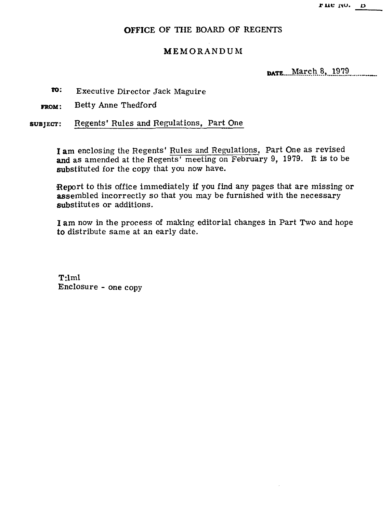rue no. D

# **OFFICE OF THE** BOARD **OF REGENTS**

# **MEMORANDUM**

**DATE** March 8, 1979

- **ro:** Executive Director Jack Maguire
- **FROM:** Betty Anne Thedford

**subject:** Regents' Rules and Regulations, Part One

**1** am enclosing the Regents' Rules and Regulations, Part One as revised and as amended at the Regents' meeting on February 9, 1979. It is to be substituted for the copy that you now have.

Report to this office immediately if you find any pages that are missing or assembled incorrectly so that you may be furnished with the necessary substitutes or additions.

I am now in the process of making editorial changes in Part Two and hope to distribute same at an early date.

T:lml Enclosure - one copy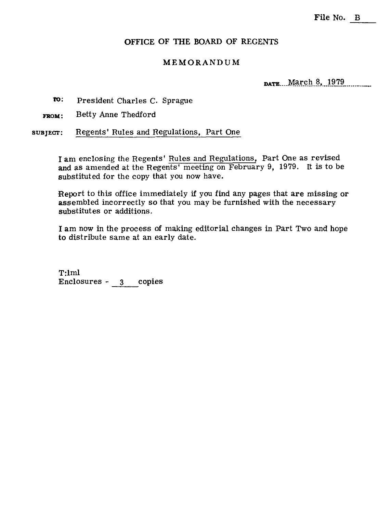## **OFFICE OF THE BOARD OF REGENTS**

### **MEMORANDUM**

**DATE** March 8, 1979

President Charles C. Sprague

**ro:** President Charles C.<br>**FROM:** Betty Anne Thedford

SUBJECT: Regents' Rules and Regulations, Part One

I am enclosing the Regents' Rules and Regulations, Part One as revised and as amended at the Regents' meeting on February 9, 1979. It is to be substituted for the copy that you now have.

Report to this office immediately if you find any pages that are missing or assembled incorrectly so that you may be furnished with the necessary substitutes or additions.

I am now in the process of making editorial changes in Part Two and hope to distribute same at an early date.

T:lml Enclosures - **3** copies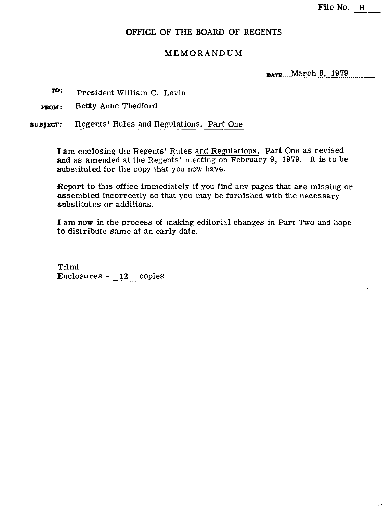## OFFICE OF THE BOARD OF REGENTS

## MEMORANDUM

**DATE... March 8, 1979** 

- **ro:** President William C. Levin
- **FROM:** Betty Anne Thedford

**subject:** Regents' Rules and Regulations, Part One

I am enclosing the Regents' Rules and Regulations, Part One as revised and as amended at the Regents' meeting on February 9, 1979. It is to be substituted for the copy that you now have.

Report to this office immediately if you find any pages that are missing or assembled incorrectly so that you may be furnished with the necessary substitutes or additions.

I am now in the process of making editorial changes in Part Two and hope to distribute same at an early date.

T:lml Enclosures - 12 copies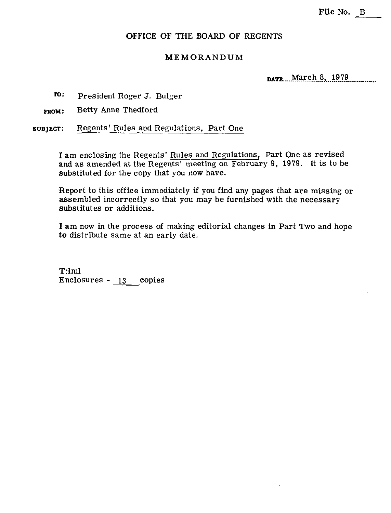## OFFICE OF THE BOARD OF **REGENTS**

### MEMORANDUM

**DATE** March 8, 1979

**m:** President Roger J. Bulger

**FROM:** Betty Anne Thedford

**SUBJECT:** Regents' Rules and Regulations, Part One

I am enclosing the Regents' Rules and Regulations, Part One as revised and as amended at the Regents' meeting on February 9, 1979. It is to be substituted for the copy that you now have.

Report to this office immediately if you find any pages that are missing or assembled incorrectly so that you may be furnished with the necessary substitutes or additions.

I am now in the process of making editorial changes in Part Two and hope to distribute same at an early date.

T:lml Enclosures - **13** copies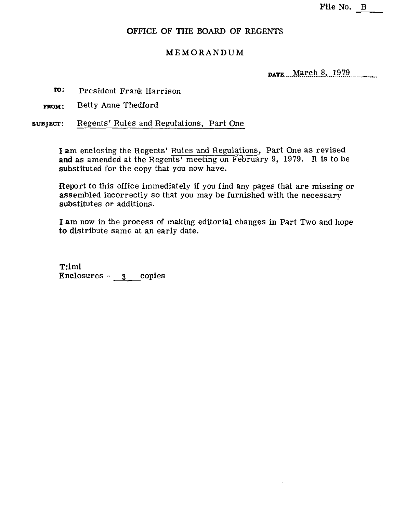## **OFFICE OF THE BOARD OF REGENTS**

## **MEMORANDUM**

DATE. March 8, 1979

**fo:** President Frank Harrison

**FROM:** Betty Anne Thedford

**subject:** Regents' Rules and Regulations, Part One

I am enclosing the Regents' Rules and Regulations, Part One as revised and as amended at the Regents' meeting on February 9, 1979. It is to be substituted for the copy that you now have.

Report to this office immediately if you find any pages that are missing or assembled incorrectly so that you may be furnished with the necessary substitutes or additions.

**I** am now in the process of making editorial changes in Part Two and hope to distribute same at an early date.

T:lml Enclosures - **3** copies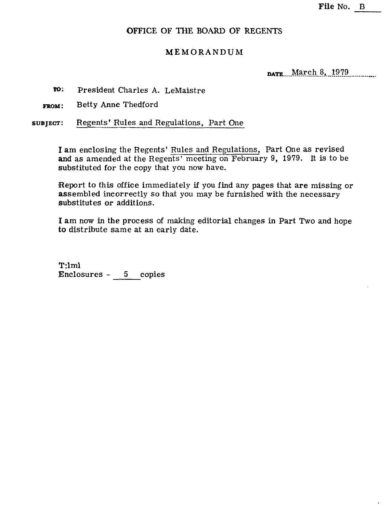## **OFFICE OF** THE **BOARD** OF **REGENTS**

## **MEMORANDUM**

**DATE** March 8, 1979

**m:** President Charles **A.** LeMaistre

**FROM:** Betty Anne Thedford

**subject:** Regents' Rules and Regulations, Part One

I am enclosing the Regents' Rules and Regulations, Part One as revised and as amended at the Regents' meeting on February 9, 1979. It is to be substituted for the copy that you now have.

Report to this office immediately if you find any pages that are missing or assembled incorrectly so that you may be furnished with the necessary substitutes or additions.

I am now in the process of making editorial changes in Part Two and hope **to** distribute same at an early date.

T:lml Enclosures - 5 copies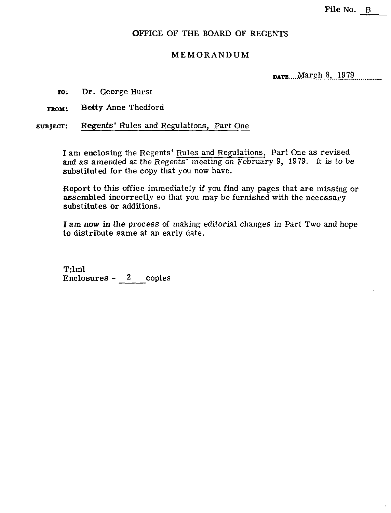## OFFICE OF THE BOARD OF REGENTS

## MEMORANDUM

DATE March 8, 1979

- **m:** Dr. George Hurst
- FROM: Betty Anne Thedford

**SUBJECT:** Regents' Rules and Regulations, Part One

**I** am enclosing the Regents' Rules and Regulations, Part One as revised and as amended at the Regents' meeting on February 9, 1979. It is to be substituted for the copy that you now have.

Report to this office immediately if you find any pages that are missing or assembled incorrectly so that you may be furnished with the necessary substitutes or additions.

I am *now* in the process of making editorial changes in Part Two and hope to distribute same at an early date.

T:lml Enclosures - 2 copies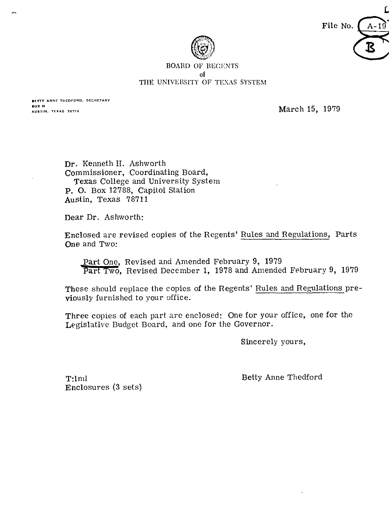

Ľ File No.

#### **BOARD OF REGENTS of**  THE UNIVERSITY OF TEXAS SYSTEM

BETTY ANNE THEOFORD, SECRETARY **BOX N** AUSTIN, TEXAS 78712

March 15, 1979

Dr. Kenneth H. Ashworth commissioner, Coordinating Board, Texas College and University System **P.** 0. Box 12788, Capitol Station Austin, Texas 78711

Dear Dr. Ashworth:

Enclosed are revised copies of the Regents' Rules and Regulations, Parts One and Two:

osed are revised copies of the Regents' <u>Rules and Read and Two:</u><br> **Part One, Revised and Amended February 9, 1979**<br> **Part Two, Revised December 1, 1978 and Amended** Revised December 1, 1978 and Amended February 9, 1979

These should replace the copies of the Regents' Rules and Regulations previously furnished to your office.

Three copies of each part are enclosed: One for your office, one for the Legislative Budget Board, and one for the Governor.

Sincerely pours,

T:ln1l Enclosures **(3** sets)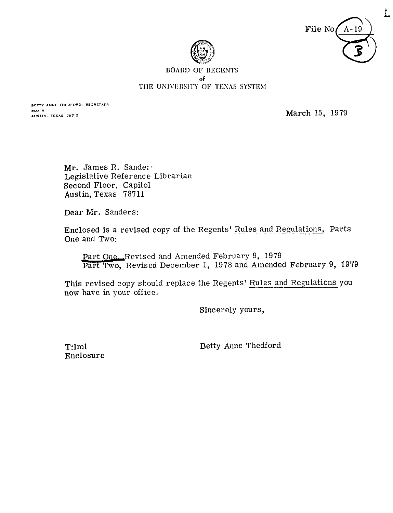

 $\tilde{\mathsf{L}}$ 



#### **BOARD OF REGENTS** of THE UNIVERSITY OF TEXAS SYSTEM

BETTY ANNE THEDFORD, SECRETARY **BOX N** AUSTIN, TEXAS 78712

March 15, 1979

Mr. James R. Sanders Legislative Reference Librarian Second Floor, Capitol **Austin.** Texas 78711

Dear Mr. Sanders:

Enclosed is a revised copy of the Regents' Rules and Regulations, Parts One and Two:

Part One. Revised and Amended February 9, 1979 Part Two. Revised December 1, 1978 and Amended February 9, 1979

This revised copy should replace the Regents' Rules and Regulations you now have in your office.

Sincerely yours,

T:lml Enclosure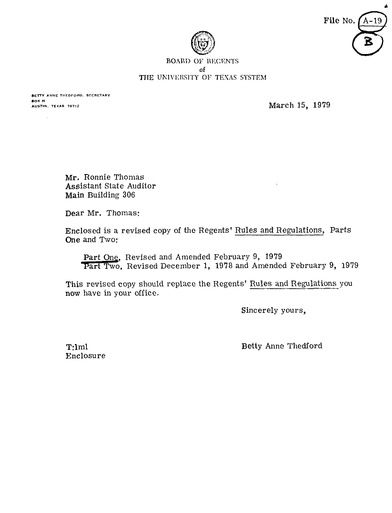



### **BOARD OF REGENTS** of THE UNIVERSITY OF TEXAS SYSTEM

**BETTY ANNE THEDFORD. SECRETARY BOX N**<br>AUSTIN, TEXAS 78712

**March 15, 1979** 

Mr. Ronnie Thomas Assistant State Auditor Main Building 306

Dear Mr. Thomas:

Enclosed is a revised copy of the Regents' Rules and Regulations, Parts One and Two: moreover 1, 1978<br>
1979<br>
1979<br>
1979<br>
1979<br>
1977 Tart Two, Revised December 1, 1978<br>
1979<br>
1979<br>
1979<br>
1977 Tart Two, Revised December 1, 1978<br>
2019<br>
1979<br>
1979<br>
1979<br>
1979<br>
1979<br>
1979<br>
1979<br>
1979<br>
1979<br>
1979<br>
1979<br>
1979<br>
19

Part One, Revised and Amended February 9, 1979<br>Part Two, Revised December 1, 1978 and Amended February 9, 1979

This revised copy should replace the Regents' Rules and Regulations you now have in your office.

Sincerely yours,

T:lml Enclosure